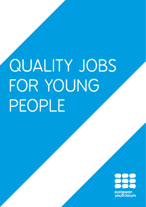# QUALITY JOBS FOR YOUNG PEOPLE

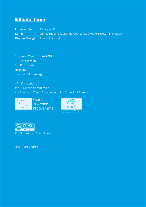#### **Editorial team**

**Editor in Chief** Giuseppe Porcaro Editor **James Higgins, Marianna Georgallis, Giorgio Zecca, Alix Masson Graphic Design** Laurent Doucet

European Youth Forum AISBL 120, rue Joseph II 1000, Brussels Belgium www.youthforum.org

*with the support of:* the European Commission the European Youth Foundation of the Council of Europe







2013 European Youth Forum

ISSN: 2032-9938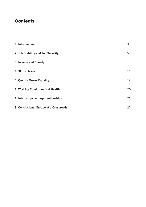### **Contents**

| 1. Introduction                        | 3  |
|----------------------------------------|----|
| 2. Job Stability and Job Security      | 5  |
| 3. Income and Poverty                  | 10 |
| 4. Skills Usage                        | 14 |
| 5. Quality Means Equality              | 17 |
| 6. Working Conditions and Health       | 20 |
| 7. Internships and Apprenticeships     | 22 |
| 8. Conclusions: Europe at a Crossroads | 27 |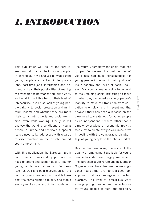I. Introduction *1. Introduction*

### *1. Introduction*

This publication will look at the core issues around quality jobs for young people. In particular, it will analyse to what extent young people are involved in temporary jobs, part-time jobs, internships and apprenticeships, their possibilities of making the transition to permanent, full-time work, and what impact this has on their level of job security. It will also look at young people's rights to social protection and minimum income and whether they are more likely to fall into poverty and social exclusion, even while working. Finally, it will analyse the working conditions of young people in Europe and ascertain if special issues need to be addressed with regards to discrimination in the debate around youth employment.

With this publication the European Youth Forum aims to successfully promote the need to create and sustain quality jobs for young people on a national and European level, as well and gain recognition for the fact that young people should be able to expect the same rights to quality and stable employment as the rest of the population.

The youth unemployment crisis that has gripped Europe over the past number of years has had huge consequences for young people in terms of their quality of life, autonomy and levels of social inclusion. Many politicians were slow to respond to the unfolding crisis, preferring to focus on what they perceived as young people's inability to make the transition from education to employment. In recent months, however, there has been a re-focus on the clear need to create jobs for young people as an independent measure rather than a simple by-product of economic growth. Measures to create new jobs are imperative in dealing with the comparative disadvantage of young people on the labour market.

Despite this new focus, the issue of the quality of employment available for young people has still been largely overlooked. The European Youth Forum and its Member Organisations have become increasingly concerned by the "any job is a good job" approach that has propagated in certain quarters. The level of precarious work among young people, and expectations for young people to fulfil the flexibility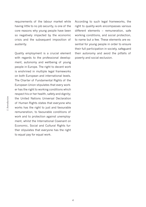requirements of the labour market while having little to no job security, is one of the core reasons why young people have been so negatively impacted by the economic crisis and the subsequent imposition of austerity.

Quality employment is a crucial element with regards to the professional development, autonomy and wellbeing of young people in Europe. The right to decent work is enshrined in multiple legal frameworks on both European and international levels. The Charter of Fundamental Rights of the European Union stipulates that every worker has the right to working conditions which respect his or her health, safety and dignity; the United Nations Universal Declaration of Human Rights states that everyone who works has the right to just and favourable remuneration, to favourable conditions of work and to protection against unemployment, whilst the International Covenant on Economic, Social and Cultural Rights further stipulates that everyone has the right to equal pay for equal work.

According to such legal frameworks, the right to quality-work encompasses various different elements – remuneration, safe working conditions, and social protection, to name but a few. These elements are essential for young people in order to ensure their full participation in society, safeguard their autonomy and avoid the pitfalls of poverty and social exclusion.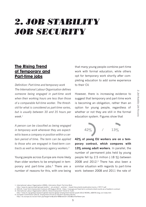# *2. Job Stability Job Security*

### **The Rising Trend of Temporary and Part-time jobs**

*Definition: Part-time and temporary work The International Labour Organisation defines someone being engaged in part-time work when their working hours are less than those of a comparable full-time worker. The threshold for what is considered as part-time varies, but is usually between 30 and 35 hours per week.1*

*A person can be classified as being engaged in temporary work whenever they are expected to leave a company or position within a certain period of time. The term can be applied to those who are engaged in fixed-term contracts as well as temporary agency workers.2*

Young people across Europe are more likely than older workers to be employed in temporary and part-time jobs.3 There are a number of reasons for this, with one being that many young people combine part-time work with formal education, while others opt for temporary work shortly after completing education to add some experience to their CV.

However, there is increasing evidence to suggest that temporary and part-time work is becoming an obligation, rather than an option for young people, regardless of whether or not they are still in the formal education system. Figures show that



**porary contract, which compares with**  13% among adult workers. In parallel, the number of permanent jobs held by young people fell by 2.5 million (-18 %) between 2008 and 2012.4 There has also been a similar situation with regards to part-time work: between 2008 and 2011 the rate of

<sup>1.</sup> International Labour Organisation (2004), *Information Sheet: Part-time Work,*<br>– http://www.ilo.org/wemsp5/groups/public/…ed\_protect/…protrav/…travail/documents/publication/wcms\_170717.pdf<br>2. GOV.UK, F*ixed-Term Employm* 3. International Labour Organization (2012), *Global Employment Trends for Youth*,

http://www.ilo.org/global/research/global-reports/global-employment-trends/youth/2012/WCMS\_180976/lang--en/index.htm 4. European Commission (2013), *Employment and Social Situation Quarterly Review*,

http://ec.europa.eu/social/main.jsp?langId=en&catId=89&newsId=1923&furtherNews=yes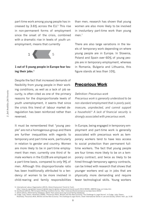part-time work among young people has increased by  $3.6\%$  across the EU.<sup>5</sup> This rise in non-permanent forms of employment since the onset of the crisis, combined with a dramatic rise in levels of youth unemployment, means that currently



#### **1 out of 5 young people in Europe fear losing their jobs**. 6

Despite the fact that increased demands of flexibility from young people in their working conditions, as well as a lack of job security, is often cited as one of the primary reasons for the disproportionate levels of youth unemployment, it seems that since the crisis this trend of labour market deregulation has been reinforced rather than reversed.

It must be remembered that "young people" are not a homogenous group and there are further inequalities with regards to temporary and part-time work, particularly in relation to gender and country. Women are more likely to be in part-time employment than men; currently one third of female workers in the EU28 are employed on a part-time basis, compared to only 9% of men. Although this disproportionate ratio has been traditionally attributed to a tendency of women to be more involved in child-rearing and family responsibilities

than men, research has shown that young women are also more likely to be involved in involuntary part-time work than young men $<sup>7</sup>$ </sup>

There are also large variations in the levels of temporary work depending on where young people are in Europe. In Slovenia, Poland and Spain over 60% of young people are in temporary employment, whereas in Romania, Bulgaria and Lithuania, this figure stands at less than 10%.

#### **Precarious Work**

#### *Definition: Precarious work*

*Precarious work is generally understood to be non-standard employment that is poorly paid, insecure, unprotected, and cannot support a household.8 A lack of financial security is strongly associated with precarious work.*

In Europe, being engaged in temporary employment and part-time work is generally associated with precarious work as temporary workers tend to have less access to social protection than permanent fulltime workers. The fact that young people are four times more likely to be on a temporary contract, and twice as likely to be hired through temporary agency contracts, can be linked with research that shows that younger workers end up in jobs that are physically more demanding and require fewer technological skills. Young workers

<sup>5.</sup> International Labour Organization (2012), *Global Employment Trends for Youth*,

http://www.ilo.org/global/research/global-reports/global-employment-trends/youth/2012/WCMS\_180976/lang--en/index.htm

<sup>6.</sup> Eurofound (2012), Fifth European Working Conditions Survey, http://www.eurofound.europa.eu/surveys/ewcs/2010/<br>8. Fudge, Judy; Owens, Rosemary (2006). "Precarious Work, Women and the New Economy: The Challenge to Legal N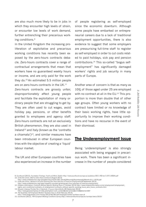*2. Job Stability Job Security*

Job Stability Job Security

 $\overline{c}$ 

are also much more likely to be in jobs in which they encounter high levels of strain, or encounter low levels of work demand, further entrenching their precarious working conditions.9

In the United Kingdom the increasing proliferation of exploitative and precarious working conditions has recently been exposed by the zero-hours contracts debacle. Zero-hours contracts cover a range of contractual arrangements that mean that workers have no guaranteed weekly hours or income, and are only paid for the work they do.10 An estimated 5.5 million people are on zero-hours contracts in the UK.<sup>11</sup>

Zero-hours contracts are grossly unfair, disproportionately affect young people and facilitate the exploitation of many ordinary people that are struggling to get by. They are often used to cut wages, avoid holiday pay, pensions, or other benefits granted to employees and agency staff. Zero-hours contracts are not an exclusively British phenomenon, they are also used in Ireland12 and Italy (known as the 'contratto a chiamata') $13$ , and similar measures have been introduced in other European countries with the objective of creating a 'liquid' labour market.

The UK and other European countries have also experienced an increase in the number of people registering as self-employed since the economic downturn. Although some people have embarked on entrepreneurial careers due to a lack of traditional employment opportunities, there is also evidence to suggest that some employers are pressurising full-time staff to register as self-employed in order to cut costs related to paid holidays, sick pay and pension contributions.14 This so-called "bogus selfemployment" has significantly damaged workers' rights and job security in many parts of Europe.

Another area of concern is that as many as 10% of those aged under 25 are employed with no contract at all in the EU.<sup>15</sup> This proportion is more than double that of other age groups. Often young workers with no contract have limited or no knowledge of their basic working rights, have little opportunity to improve their working conditions and have no recourse in the event of their dismissal.

#### **The Underemployment Issue**

Being 'underemployed' is also strongly associated with being engaged in precarious work. There has been a significant increase in the number of people considered

<sup>9.</sup> Eurofound (2012), *Foundation Findings: Youth and Work*, Dublin http://www.eurofound.europa.eu/pubdocs/2011/40/en/1/EF1140EN.pdf 10. Unite the Union, *Brief on Zero-Hours Contracts* (August 2013) http://www.unitetheunion.org/uploaded/documents/001-Zero%20hours%20contracts%20brief-v211-12576.pdf

<sup>11.</sup> Unite the Union, *Research uncovers Growing Zero Hour Subclass of Insecure Employment* (8 September 2013)

http://www.unitetheunion.org/news/research-uncovers-growing-zero-hour-subclass-of-insecure-employment/<br>12. Citizens Information, Contracts Without Specific Working Hours (1 October 2013) http://www.citizensinformation.ie/e

<sup>13.</sup> Giovane Impresa Portale Per L'Imprendi, *Il Lavoro Intermittente* (30 September 2013)

http://www.giovaneimpresa.it/index.php?option=com\_content&view=article&id=536&Itemid=697

<sup>14.</sup> The Guardian *Self-Employed Workers Numbers Soar in UK* (6 February 2013), http://www.theguardian.com/money/2013/feb/06/self-employed-worker-numbers-soar-uk

<sup>15.</sup> Eurofound (2012), *Fifth European Working Conditions Survey*,http://www.eurofound.europa.eu/surveys/ewcs/2010/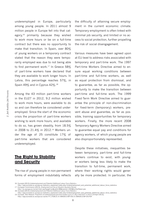underemployed in Europe, particularly among young people. In 2011 almost 9 million people in Europe fell into that category,<sup>16</sup> primarily because they wished to work more hours or be on a full-time contract but there was no opportunity to make that transition. In Spain, over 80% of young workers on a temporary contract stated that the reason they were temporarily employed was due to not being able to find permanent work.<sup>17</sup> In Greece 58% of part-time workers have declared that they are available to work longer hours. In Latvia, this percentage reaches 57%, in Spain 49% and in Cyprus 42%.18

Among the 43 million part-time workers in the EU27 in 2012, 9.2 million wished to work more hours, were available to do so and can therefore be considered underemployed. Since the start of the economic crisis the proportion of part-time workers wishing to work more hours, and available to do so, has grown steadily, from 18.5% in 2008 to 21.4% in 2012.<sup>19</sup> Workers under the age of 25 constitute 17% of part-time workers that are considered underemployed.

### **The Right to Stability and Security**

The rise of young people in non-permanent forms of employment indubitably reflects

the difficulty of attaining secure employment in the current economic climate. Temporary employment is often linked with minimal job security, and limited or no access to social protection, further propelling the risk of social disengagement.

Various measures have been agreed upon at EU-level to address risks associated with temporary and part-time work. The 1997 Part-time Workers Directive aimed to ensure equal working conditions between part-time and full-time workers, as well as equal protection from dismissal, and to guarantee, as far as possible, the opportunity to make the transition between part-time and full-time work. The 1999 Fixed-Term Work Directive aimed to guarantee the principle of non-discrimination for fixed-term (temporary) workers, prevent abuse and guarantee, as far as possible, training opportunities for temporary workers. Finally, the more recent 2008 Temporary Agency Workers Directive aimed to guarantee equal pay and conditions for agency workers, of which young people are also disproportionately represented.

Despite these initiatives, inequalities between temporary, part-time and full-time workers continue to exist, with younger workers being less likely to make the transition to full-time, permanent work, where their working rights would generally be more protected. In particular, the

http://epp.eurostat.ec.europa.eu/statistics\_explained/index.php/Underemployment\_and\_potential\_additional\_labour\_force\_statistics<br>19. Eurostat, New Release: Proportion of underemployed part.time workers up to 21.4%, in the

<sup>16.</sup> Eurostat (2013) *Underemployment and Potential Additional Labour Force Statistics*

http://epp.eurostat.ec.europa.eu/statistics\_explained/index.php/Underemployment\_and\_potential\_additional\_labour\_force\_statistics 17. European Commission (2013), *Employment and Social Situation Quarterly Review*

http://ec.europa.eu/social/main.jsp?langId=en&catId=89&newsId=1923&furtherNews=yes

<sup>18.</sup> Eurostat (2013) *Underemployment and Potential Additional Labour Force Statistics*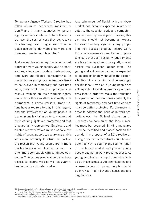Temporary Agency Workers Directive has fallen victim to haphazard implementation,20 and in many countries temporary agency workers continue to have less control over the sort of work they do, receive less training, have a higher rate of workplace accidents, do more shift work and have less time to complete jobs.<sup>21</sup>

Addressing this issue requires a concerted approach from young people, youth organisations, education providers, trade unions, employers and elected representatives. In particular, as young people are more likely to be involved in temporary and part-time work, they must have the opportunity to receive training on their working rights, particularly those relating to equality with permanent, full-time workers. Trade unions have a key role to play in this regard, and the involvement of young people in trade unions is vital in order to ensure that their working rights are protected and that they are fairly represented. Employers and elected representatives must also take the rights of young people to secure and stable work more seriously. It is true that part of the reason that young people are in more flexible forms of employment is that it is often more compatible with continued education,22 but young people should also have access to secure work as well as guaranteed equality with older workers.

A certain amount of flexibility in the labour market has become expected in order to cater to the specific needs and competencies required by employers. However, this can and should not become an excuse for discriminating against young people and their access to stable, secure work. Immediate measures must be put in place to ensure that such flexibility requirements are fairly managed and more justly shared across the European labour force. The young and vulnerable cannot be expected to disproportionately shoulder the responsibilities of a changing and increasingly flexible labour market. If young people are still expected to work in temporary or parttime jobs in order to make the transition to a permanent and full-time contract, the rights of temporary and part-time workers must be better protected. Furthermore, in order to address the issue of in-work precariousness, the EU-level discussion on measures to harmonise the labour market must be reopened. Binding measures must be identified and placed back on the agenda: the proposal of a EU directive on a single open-ended contract could be one potential way to counter the segmentation of the labour market and protect young people against in-work precariousness. As young people are disproportionately affected by these issues youth organisations and representatives of young people should be involved in all relevant discussions and negotiations.

<sup>20.</sup> European Commission, *News Release: Temporary Work: Commission requests Cyprus and Sweden to implement rules to protect temporary agency workers* (21 June 2012), http://europa.eu/rapid/press-release\_IP-12-669\_en.htm

<sup>21.</sup> ETUC (2007), *Temporary Agency Workers in the European Union*, http://www.etuc.org/a/501 22. International Labour Organization (2012), *Global Employment Trends for Youth*

http://www.ilo.org/global/research/global-reports/global-employment-trends/youth/2012/WCMS\_180976/lang--en/index.htm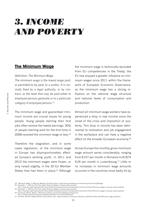### *3. Income and Poverty*

#### **The Minimum Wage**

#### *Definition: The Minimum Wage*

*The minimum wage is the lowest wage paid, or permitted to be paid, to a worker. It is normally fixed by a legal authority, or by contract, as the least that may be paid either to employed persons generally or to a particular category of employed persons.23*

The minimum wage and guaranteed minimum income are crucial issues for young people. Young people starting their first jobs often receive the lowest earnings: 30% of people starting work for the first time in 2008 received the minimum wage or less.24

Therefore the stagnation, and in some cases regression, of the minimum wage in Europe has disproportionately affected Europe's working youth. In 2011 and 2012 the minimum wages were frozen, or only raised slightly, in the 20 EU Member States that had them in place.<sup>25</sup> Although

the minimum wage is technically excluded from EU competencies in the Treaty, the EU has enjoyed a greater influence on minimum wages since 2011 within the framework of European Economic Governance, as the minimum wage has a strong influence on the national wage structure and national levels of consumption and production.

Almost all minimum wage workers have experienced a drop in real income since the onset of the crisis and imposition of austerity. This drop in income has been detrimental to motivation and job engagement in the workplace and can have a negative effect on the broader European economy.<sup>26</sup>

Across Europe the monthly gross minimum wage amount varies considerably, ranging from €157 per month in Romania to €1874 EUR per month in Luxembourg.27 Little or no increases in minimum wage amounts occurred in the countries most badly hit by

<sup>23. &</sup>quot;Minimum Wage" in Merriam-Webster Dictionary http://www.merriam-webster.com/dictionary/minimum%20wage<br>24. Schultzen, T., (2012), ETUI Policy Brief: Minimum Wages in Europe Under Austerity,<br>http://www.etui.org/Publicati 25. Schultzen, T., (2012), *ETUI Policy Brief: Minimum Wages in Europe Under Austerity*,

http://www.etui.org/Publications2/Policy-Briefs/European-Economic-Employment-and-Social-Policy/Minimum-wages-in-Europe-under-austerity 26. Eurofound (2013), *Wages: A Working Conditions and Industrial Relations Perspective*, http://www.eurofound.europa.eu/pubdocs/2013/07/en/3/EF1307EN.pdf

<sup>27.</sup> Eurostat, *Minimum Wage Statistics* (July 2013), http://epp.eurostat.ec.europa.eu/statistics\_explained/index.php/Minimum\_wage\_statistics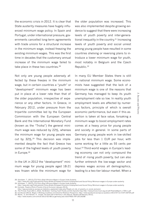the economic crisis in 2012. It is clear that State austerity measures have hugely influenced minimum wage policy. In Spain and Portugal, under international pressure, governments cancelled long-term agreements with trade unions for a structural increase in the minimum wage, instead freezing the existing minimum wages. This was the first time in decades that the customary annual increase of the minimum wage failed to take place in these two countries.<sup>28</sup>

Not only are young people adversely affected by these freezes in the minimum wage, but in certain countries a "youth" or "development" minimum wage has been put in place at a lower rate than that of the older population, irrespective of experience or any other factors. In Greece, in February 2012, under pressure from the tripartite committee led by the European Commission with the European Central Bank and the International Monetary Fund (known as the "Troika") the general minimum wage was reduced by 22%, whereas the minimum wage for young people was cut by 32%.<sup>29</sup> This decision was implemented despite the fact that Greece has some of the highest levels of youth poverty in Europe.<sup>30</sup>

In the UK in 2012 the "development" minimum wage for young people aged 18-21 was frozen while the minimum wage for the older population was increased. This was also implemented despite growing evidence to suggest that there were increasing levels of youth poverty and inter-generational inequality in the country.<sup>31</sup> Increasing levels of youth poverty and social unrest among young people have resulted in some countries shelving or reversing plans to introduce a lower minimum wage for youth, most notably in Belgium and the Czech Republic.32

In many EU Member States there is still no national minimum wage. Some economists have suggested that the lack of a minimum wage is one of the reasons that Germany has managed to keep its youth unemployment rate so low. In reality youth employment levels are affected by numerous factors, principle of which is overall economic performance, but even if this assertion is taken at face value, forsaking a minimum wage to boost employment rates comes at a heavy price for young people and society in general. In some parts of Germany young people work in low-skilled jobs for less than 1 EUR per hour, with some working for a little as 55 cents per hour.33 Third-world wages in Europe's leading economy can not only compound the trend of rising youth poverty, but can also further entrench the low-wage sector and depress wages across all demographics, leading to a two-tier labour market. When a

*3. Income and Poverty*

Income and Povert

ļω

<sup>28.</sup> Schultzen, T., (2012) *ETUI Policy Brief: Minimum Wages in Europe Under Austerity*,

http://www.etui.org/Publications2/Policy-Briefs/European-Economic-Employment-and-Social-Policy/Minimum-wages-in-Europe-under-austerity

<sup>29.</sup> Schultzen, T., (2012) *ETUI Policy Brief: Minimum Wages in Europe Under Austerity,*<br>http://www.etui.org/Publications2/Policy-Briefs/European-Economic-Employment-and-Social-Policy/Minimum-wages-in-Europe-under-austerity

http://epp.eurostat.ec.europa.eu/statistics\_explained/index.php/People\_at\_risk\_of\_poverty\_or\_social\_exclusion

<sup>31.</sup> The Princes Trust (2011), *Broke, Not Broken: Tackling Youth Poverty and the Aspiration Gap http://www.princes-trust.org.uk/pdf/PovertyReport\_170511.pdf<br>32. Eurofound (2013), Wages: A Working Conditions and Industrial* 

http://www.reuters.com/article/2012/02/08/us-germany-jobs-idUSTRE8170P120120208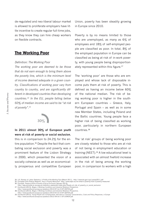de-regulated and neo-liberal labour market is allowed to proliferate employers have little incentive to create regular full-time jobs, as they know they can hire cheap workers on flexible contracts.

#### **The Working Poor**

#### *Definition: The Working Poor*

*The working poor are deemed to be those that do not earn enough to bring them above the poverty line, which is the minimum level of income deemed adequate in a given country. Classifications of working poor vary from country to country, and are significantly different in developed countries than developing countries.34 In the EU, people falling below 60% of median income are said to be "at risk of poverty".35*



# **In 2011 almost 30% of European youth were at risk of poverty or social exclusion**,

this is in comparison to 24.2% for the entire population.<sup>36</sup> Despite the fact that combating social exclusion and poverty was a prominent feature of the Lisbon Strategy in 2000, which presented the vision of a socially cohesive as well as an economically prosperous and competitive European

Union, poverty has been steadily growing in Europe since 2010.

Poverty is by no means limited to those who are unemployed, as many as 6% of employees and 18% of self-employed people are classified as poor. In total, 8% of the employed population in Europe can be classified as being at risk of in-work poverty, with young people being disproportionately represented within this figure.37

The 'working poor' are those who are employed and whose lack of disposable income puts them at risk of poverty. This is defined as having an income below 60% of the national median. The risk of being working poor is higher in the southern European countries – Greece, Italy, Portugal and Spain – as well as in some new Member States, including Poland and the Baltic countries. Young people face a higher risk of being classified as working poor, particularly in northern European countries.38

The 'at risk' groups of being working poor are closely related to those who are at risk of not being in employment education or training (NEET).39 A low educational level is associated with an almost fivefold increase in the risk of being among the working poor, in comparison to workers with a high

<sup>34.</sup> U.S. Bureau of Labor Statistics, *A Profile of the Working Poor* (March 2011), http://www.bls.gov/cps/cpswp2011.pdf

<sup>35.</sup> European Anti-Poverty Network, *How is Poverty Measured?* http://www.eapn.eu/en/what-is-poverty/how-is-poverty-measured

<sup>36.</sup> Eurostat, *People at Risk of Poverty of Social Exclusion* (January 2013),

http://epp.eurostat.ec.europa.eu/statistics\_explained/index.php/People\_at\_risk\_of\_poverty\_or\_social\_exclusion 37. Eurofound (2013), *Wages: A Working Conditions and Industrial Relations Perspective*,

http://www.eurofound.europa.eu/pubdocs/2013/07/en/3/EF1307EN.pdf

<sup>38.</sup> Eurofound (2013), Wages: A Working Conditions and Industrial Relations Perspective,<br>http://www.eurofound.europa.eu/pubdocs/2013/07/en/3/EF1307EN,pdf<br>39. Eurofound (2012), Young People not in Employment, Education or Tr http://www.eurofound.europa.eu/pubdocs/2012/54/en/1/EF1254EN.pdf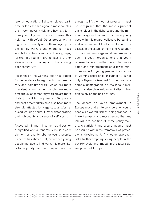level of education. Being employed parttime or for less than a year almost doubles the in-work poverty risk, and having a temporary employment contract raises this risk nearly threefold. Other groups with a high risk of poverty are self-employed people, family workers and migrants. Those who fall into two or more of these groups. for example young migrants, face a further elevated risk of falling into the working poor category.40

Research on the working poor has added further evidence to arguments that temporary and part-time work, which are more prevalent among young people, are more precarious, as temporary workers are more likely to be living in poverty.<sup>41</sup> Temporary and part-time workers have also been more strongly affected by wage cuts and/or reduced working hours, further deteriorating their job quality and sense of self-worth.

A secured minimum income that allows for a dignified and autonomous life is a core element of quality jobs for young people. Evidence has shown that, even when young people manage to find work, it is more likely to be poorly paid and may not even be

enough to lift them out of poverty. It must be recognised that the most significant stakeholder in the debates around the minimum wage and minimum income is young people. In this regard, collective bargaining and other national level consultation processes in the establishment and regulation of the minimum wage must become more open to youth organisations and youth representatives. Furthermore, the imposition and reinforcement of a lower minimum wage for young people, irrespective of working experience or capability, is not only a flagrant disregard for the most vulnerable demographic on the labour market, it is also clear evidence of discrimination solely on the basis of age.

The debate on youth employment in Europe must take into consideration young people's elevated risk of being trapped in in-work poverty, and move beyond the "any job will do" position of some policy-makers. A sufficient and secure income must be assured within the framework of professional development. Any other approach risks further trapping young people in the poverty cycle and impeding the future development of Europe.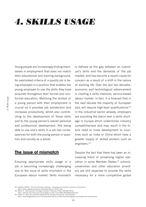### *4. Skills usage*

Young people are increasingly finding themselves in employment that does not match their educational and training background. An overlooked criteria of a quality job is being employed in a position that enables the young employee to use the skills they have acquired throughout their formal and nonformal education. Matching the skillset of a young person with their employment is crucial as it provides job satisfaction and increases productivity, whilst also contributing to the development of these skills and to the young person's overall personal and professional development. Not being able to use one's skills in a job has consequences for both the young person in question and society as a whole.

#### **The issue of mismatch**

Ensuring appropriate skills usage in a job is becoming increasingly challenging due to the issue of skills mismatch in the European labour market. Skills mismatch

is defined as the gap between an individual's skills and the demands of the job market, and has become a recent cause for concern as a result of a shift in the nature of working life. Over the last two decades, economic and technological advancement is creating a skills-intensive, service-based labour market. In fact, it is forecast that in the next decade the majority of European jobs will require high-level qualifications.<sup>42</sup> In the industrial sector already, employers are sounding the alarm over a skills shortage in Europe which undermines industry competitiveness and may result in the future need to move development to countries such as India or China which have a greater supply of skilled workers such as engineers.43

Despite the fact that there has been an increasing trend of privatising higher education in some Member States,<sup>44</sup> schools, universities and other education providers are still expected to provide the skills necessary for a more competitive global

<sup>42.</sup> Cedefop (2010), *The skill matching challenge – analysing skill mismatch and policy implications* http://www.cedefop.europa.eu/EN/publications/15275.aspx

<sup>43.</sup> Milne, R., *Alarming skills shortage in Europe*, Financial Times, (26 May 2013) http://www.ft.com/intl/cms/s/0/51dc6cca-c145-11e2-b93b-00144feab7de.html

<sup>44.</sup> Sodha, S., *Why Savvy Students Might Start to Opt Out of University*, The Guardian,

http://www.theguardian.com/commentisfree/2013/jul/28/university-degrees-not-always-best-way-forward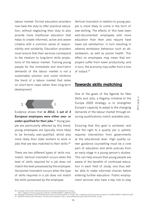labour market. Formal education providers now have the duty to offer practical education, without neglecting their duty to also provide more traditional education that helps to create informed, active and aware citizens with a common sense of responsibility and solidarity. Education providers must ensure that their services correspond to the medium to long-term skills projections of the labour market. Training young people for the immediate and short-term demands of the labour market is not a sustainable solution and could reinforce the trend of a labour market that relies on short-term need rather than long-term development.



Evidence shows that **in 2012, 1 out of 3 European employees were either over- or under-qualified for their jobs**. 45 Young people are particularly affected by this trend: young employees are typically more likely to be formally over-qualified, whilst also more likely than older workers to work in jobs that are less matched to their skills.46

There are two different types of skills mismatch. Vertical mismatch occurs when the level of skills required for a job does not match the level possessed by the employee; Horizontal mismatch occurs when the type of skills required in a job does not match the skills possessed by the employee.

Vertical mismatch in relation to young people is more likely to come in the form of over-skilling. The effects of this have been well-documented: employees with more education than their jobs require have lower job satisfaction, in turn resulting in adverse workplace behaviour such as absenteeism, as well as poorer health. This effect on employees may mean that employers suffer from lower productivity; and in turn, the economy may suffer from a loss of output.<sup>47</sup>

#### **Towards skills matching**

One of the goals of the Agenda for New Skills and Jobs, a flagship initiative of the Europe 2020 strategy, is to strengthen Europe's capacity to adapt to the changing demands of the labour market through ensuring qualifications match available jobs.

Ensuring that this goal is achieved, and that the right to a quality job is upheld, requires intervention from governments at the educational level. High quality career guidance counselling must be a core part of education and skills policies from an early stage in a young person's studies. This can help ensure that young people are aware of the benefits of continued education in each field of study, and thus better able to make informed choices before entering further education. Public employment services also have a key role to play

<sup>45.</sup> European Commission (2013) *Employment and Social Developments in Europe,*<br>http://register.consilium.europa.eu/pdf/en/13/st05/st05571-adO9.en13.pdf<br>46. European Commission (2013) *Employment and Social Developments in* 47. CEDEFOP (2012) *Skills Mismatch: The Role of the Enterprise*, http://www.cedefop.europa.eu/EN/Files/5521\_en.pdf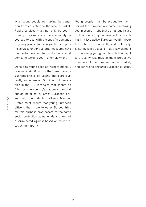when young people are making the transition from education to the labour market. Public services must not only be youthfriendly, they must also be adequately resourced to deal with the specific demands of young people. In this regard cuts to public services under austerity measures have been extremely counter-productive when it comes to tackling youth unemployment.

Upholding young peoples' right to mobility is equally significant in the move towards guaranteeing skills usage. There are currently an estimated 5 million job vacancies in the EU. Vacancies that cannot be filled by one country's nationals can and should be filled by other European citizens with the matching skillsets. Member States must ensure that young European citizens that move to other EU countries for this purpose have access to the same social protection as nationals and are not discriminated against based on their status as immigrants.

Young people must be productive members of the European workforce. Employing young people in jobs that do not require use of their skills may undermine this, resulting in a less active European youth labour force, both economically and politically. Ensuring skills usage is thus a key element of bestowing young people with their right to a quality job, making them productive members of the European labour market, and active and engaged European citizens.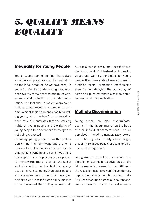## *5. Quality means equality*

#### **Inequality for Young People**

Young people can often find themselves as victims of prejudice and discrimination on the labour market. As we have seen, in some EU Member States young people do not have the same rights to minimum wages and social protection as the older population. The fact that in recent years some national governments have developed new employment legislation specifically targeting youth, which deviate from universal labour laws, demonstrates that the working rights of young people and the rights of young people to a decent and fair wage are not being respected.

Excluding young people from the protection of the minimum wage and providing barriers to vital social services such as unemployment benefits and social housing is unacceptable and is pushing young people further towards marginalisation and social exclusion in Europe. The fact that young people make less money than older people and are more likely to be in temporary or part-time work has led some policy-makers to be concerned that if they access their full social benefits they may lose their motivation to work. But instead of improving wages and working conditions for young people they have instead made moves to diminish social protection mechanisms even further, delaying the autonomy of some and pushing others closer to homelessness and marginalisation.

#### **Multiple Discrimination**

Young people are also discriminated against in the labour market on the basis of their individual characteristics - real or perceived - including gender, race, sexual orientation, gender identity, ethnic origin, disability, religious beliefs or social and educational background.

Young women often find themselves in a situation of particular disadvantage on the labour market compared to men. Although the recession has narrowed the gender pay gap among young people, women make 16% less than men across all age ranges.48 Women have also found themselves more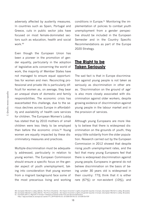adversely affected by austerity measures. In countries such as Spain, Portugal and Greece, cuts in public sector jobs have focused on most female-dominated sectors such as education, health and social work.49

Even though the European Union has been a pioneer in the promotion of gender equality, particularly in the adoption of legislative acts concerning the world of work, the majority of Member States have not managed to ensure equal opportunities for women and men. Reconciling professional and private life is particularly difficult for women as, on average, they bear an unequal share of domestic and family responsibilities. The economic crisis has exacerbated this challenge, due to the serious declines across Europe in affordability and availability of health care services for children. The European Women's Lobby has stated that by 2010 mothers of small children were less likely to be employed than before the economic crisis.<sup>50</sup> Young women are equally impacted by these discriminatory measures and practices.

Multiple-discrimination must be adequately addressed, particularly in relation to young women. The European Commission should ensure a specific focus on the gender aspect of youth unemployment, taking into consideration that young women from a migrant background face some of the most precarious living and working conditions in Europe.51 Monitoring the implementation of policies to combat youth unemployment from a gender perspective should be included in the European Semester and in the Country Specific Recommendations as part of the Europe 2020 Strategy.

#### **The Right to be Taken Seriously**

The sad fact is that in Europe discrimination against young people is not taken as seriously as discrimination in other areas. 'Discrimination on the ground of age' is also more closely associated with discrimination against older workers, despite growing evidence of discrimination against young people in the labour market and in the provision of services.

Although young Europeans are more likely to believe that there is widespread discrimination on the grounds of youth, they enjoy little solidarity from the older population. Research carried out by the European Commission in 2012 showed that despite rising youth unemployment rates, and the fact that many young Europeans feel that there is widespread discrimination against young people, Europeans in general do not believe discrimination on the basis of being under 30 years old is widespread in their country: 77% think that it is either rare (67%) or non-existent (10%), and

<sup>49.</sup> European Women's Lobby (2012), *The Price of Austerity – the Impact of women's rights and gender equality in Europe, (European Women's Lobby, Brussels)<br>50. European Women's Lobby (2012), Th<i>e Price of Austerity – the I* 

http://epp.eurostat.ec.europa.eu/cache/ITY\_OFFPUB/KS-31-10-539/EN/KS-31-10-539-EN.PDF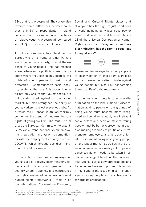18% that it is widespread. The survey also revealed some differences between countries; only 5% of respondents in Ireland consider that discrimination on the basis of relative youth is widespread, compared with 30% of respondents in France.<sup>52</sup>

A political discourse has developed in Europe where the rights of older workers are protected as a priority, often at the expense of young people. This has reached a level where some politicians are in a position where they can openly dismiss the rights of young people to basic social protection.53 Comprehensive social security systems that are fully accessible to all not only ensure that young people are not discriminated against on the labour market, but also strengthen the ability of young workers to reject precarious jobs. As a result, the European Youth Forum firmly condemns the trend of undermining the rights of young workers. The Youth Forum urges the European Commission to urgently review current national youth employment legislation and verify its compatibility with the employment equality directive 2000/78, which forbade age discrimination in the labour market.

In particular, a lower minimum wage for young people is highly discriminatory, exploits and isolates young people in the country where it applies, and contravenes the rights enshrined in several universal human rights frameworks. Article 7 of the International Covenant on Economic,

Social and Cultural Rights states that "Everyone has the right to just conditions of work, including fair wages, equal pay for equal work and rest and leisure". Article 23 of the Universal Declaration of Human Rights states that **"Everyone, without any discrimination, has the right to equal pay for equal work"**.



A lower minimum wage for young people is in clear violation of these rights. Policies such as these not only discriminate against young people but also risk condemning them to a life of debt and poverty.

In order for young people to escape discrimination on the labour market, discrimination against people on the grounds of being young must become more recognised and be taken seriously by all relevant social actors and decision-makers. Young people must be better represented in decision-making positions as politicians, entrepreneurs, employers, and as trade unionists. Discrimination against young people on the labour market, as well as in the provision of services, is a reality in Europe and concerted action needs to be taken in order to challenge it head-on. The European institutions, civil society organisations and trade unions have an important role to play in highlighting the issue of discrimination against young people and to actively work towards its eradication.

<sup>52.</sup> Eurobarometer (2012), *Discrimination in the EU in 2012* http://ec.europa.eu/public\_opinion/archives/ebs/ebs\_393\_en.pdf

<sup>53.</sup> Collins, D., *Tory MP tells jobless youth to work for less than minimum wage*, The Guardian (20 September 2013) http://www.guardian.co.uk/society/2012/sep/20/tory-mp-youth-minimum-wage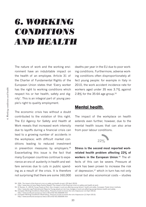### *6. Working conditions and health*

The nature of work and the working environment have an indubitable impact on the health of an employee. Article 31 of the Charter of Fundamental Rights of the European Union states that 'Every worker has the right to working conditions which respect his or her health, safety and dignity'. This is an integral part of young people's right to quality employment.

The economic crisis has without a doubt contributed to the violation of this right. The EU Agency for Safety and Health at Work reveals that increased work intensity due to layoffs during a financial crisis can lead to a growing number of accidents in the workplace; with difficult market conditions leading to reduced investment in prevention measures by employers.<sup>54</sup> Exacerbating this issue is the fact that many European countries continue to experience an era of austerity in health and welfare services due to cuts in public spending as a result of the crisis. It is therefore not surprising that there are some 160,000

deaths per year in the EU due to poor working conditions. Furthermore, adverse working conditions often disproportionately affect young people: for example in Italy in 2010, the work accident incidence rate for workers aged under 35 was 3.7% against 2.8% for the 35-64 age group.55

#### **Mental health**

The impact of the workplace on health extends even further, however, due to the mental health issues that can also arise from poor labour conditions.



**22%**<br>Stress is the second most reported work-<br> **Stress is the second most reported workrelated health problem affecting 22% of workers in the European Union**. 56 The effects of this can be severe. Pressure at work has been proven to increase the risk of depression,<sup>57</sup> which in turn has not only social but also economical costs – studies

<sup>54.</sup> ISSA, *The impact of the financial crisis on safety and health at work*, (25 April 2010)

http://www.issa.int/aiss/News-Events/News2/The-impact-of-the-financial-crisis-on-safety-and-health-at-work<br>55. Di Nunzio, D., (2013) Young People at Risk: How changes in work are affecting young Italians' health and safety

http://www.etui.org/Publications2/Reports/Young-people-at-risk-how-changes-in-work-are-affecting-young-Italians-health-and-safety

<sup>56.</sup> European Working Conditions Observatory, Pressure at work increases the risk of depression (12 April 2013)<br>57. European Working Conditions Observatory, Pressure at work increases the risk of depression (12 April 2013)<br>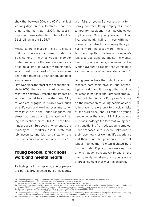show that between 50% and 60% of all lost working days are due to stress,<sup>58</sup> contributing to the fact that in 2004, the cost of depression was estimated to be a total of €118 billion in the EU25.59

Measures are in place in the EU to ensure that such risks are minimised. Under the EU's Working Time Directive each Member State must ensure that every worker is entitled to a limit to weekly working time, which must not exceed 48 hours on average, a minimum daily rest period, and paid annual leave.

However, since the start of the economic crisis in 2008, the rise of precarious employment has negatively affected the impact of work on mental health. In Germany, 21% of workers engaged in flexible work such as shift-work and working overtime suffer from fatigue.<sup>60</sup> In the United Kingdom, job stress has gone up and job-related well-being has declined since 2006.<sup>61</sup> These findings are a pan-European phenomenon: the majority of EU workers in 2013 state that job insecurity and job reorganization are the main causes of work-related stress.<sup>62</sup>

#### **Young people, precarious work and mental health**

As highlighted in chapter 2, young people are particularly affected by job insecurity,

with 42% of young EU workers on a temporary contract. Being employed in such temporary positions has psychological implications. One young worker out of five, and nearly half of those with nonpermanent contracts, fear losing their job. Furthermore, increased work intensity, often due to layoffs or the fear of losing one's job, disproportionately affects the mental health of young workers, who are more likely than average to report that workload is a common cause of work-related stress.<sup>63</sup>

Young people have the right to a job that respects both their physical and psychological health and it is a right that must be reflected in national and European employment policies. Whilst a European Directive on the protection of young people at work is in place, it refers only to physical risks of the workplace, and is limited to young people under the age of 18. Policy-makers must acknowledge the fact that young people transitioning from education to employment are faced with specific risks due to their lower levels of working life experience and their vulnerable position in a current labour market that is often dictated by a 'last-in, first-out' policy. Safe working conditions that do not negatively impact on the health, safety and dignity of a young worker are a key right that must be ensured.

<sup>58.</sup> European Agency for Safety and Health at Work, *European Risk Observatory: Stress*, https://osha.europa.eu/en/topics/stress

<sup>59.</sup> European Commission (2008) *Policy Brief: Improving the mental health of the population*,

http://ec.europa.eu/health/archive/ph\_determinants/life\_style/mental/docs/policy\_briefs\_en.pdf

<sup>.60.</sup> European Working Conditions Observatory, *Work related mental stress focus of research and policy debate*, (15 February 2013) http://www.eurofound.europa.<br>eu/ewco/2012/12/DE1212029l.htm?utm\_source=email\_eurofoundobser 61. Osborne, H., *Pressure and Job Insecurity felt by UK workers at 20-year high*, The Guardian, (20 May 2013)

http://www.theguardian.com/money/2013/may/20/british-workers-less-secure-more-stressed

<sup>62.</sup> European Agency for Safety and Health at Work (2013) Pan European Opinion-poll on occupational safety and health 2013 (Publications Office, Luxembourg)<br>Eurofound. (2012). Fifth European working conditions survey http:/

<sup>63.</sup> European Agency for Safety and Health at Work (2013) *Pan European Opinion-poll on occupational safety and health 2013* (OSHA, Luxembourg)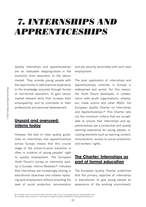### *7. Internships and Apprenticeships*

Quality internships and apprenticeships are an invaluable stepping-stone in the transition from education to the labour market. They provide young people with the opportunity to add practical experience to the knowledge acquired through formal or non-formal education, to gain labour market relevant skills that increase their employability, and to contribute to their professional and personal development.

#### **Unpaid and overused: interns today**

However, the lack of clear quality guidelines on internships and apprenticeships across Europe means that this crucial stage of the school-to-work transition is often in violation of young peoples' right to quality employment. The European Youth Forum's survey on internship quality in Europe, Interns Revealed,<sup>64</sup> indicates that internships are increasingly lacking in educational objectives and instead replacing paid employment without providing the level of social protection, remuneration

and job security associated with such paid employment.

The poor application of internships and apprenticeships schemes in Europe is widespread and varied. For this reason, the Youth Forum developed, in collaboration with youth organisations, employers, trade unions and other NGOs, the European Quality Charter on Internships and Apprenticeships.<sup>65</sup> This Charter sets out the minimum criteria that are acceptable to ensure that internships and apprenticeships are a productive and quality learning experience for young people, including elements such as learning content, remuneration, access to social protection, and workers' rights.

### **The Charter: Internships as part of formal education**

The European Quality Charter underlines that the primary objective of internships is educational: to give young people an experience of the working environment,

<sup>64.</sup> European Youth Forum (2011) *Interns Revealed*, http://issuu.com/yomag/docs/yfj\_internsrevealed\_web 65. European Quality Charter on Internships and Apprenticeships, available at: www.qualityinternships.eu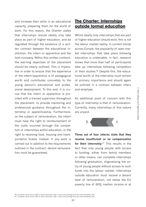and increase their skills in an educational capacity, preparing them for the world of work. For this reason, the Charter states that internships should ideally only take place as part of higher education, and be regulated through the existence of a written contract between the educational institution, the intern or apprentice and the host company. Within this written contract, the learning objectives of the placement should be clearly outlined. This is imperative in order to ensure that the experience of the intern/apprentice is of pedagogical worth and contributes concretely to the young person's educational and professional development. To this end, it is crucial that the intern or apprentice is provided with a trained supervisor throughout the placement, to provide mentoring and professional guidance throughout the internship or apprenticeship. Furthermore, on the subject of remuneration, the intern must have the right to reimbursement of the costs incurred through the completion of internships within education, or the right to receiving food, housing and transportation tickets instead. If any work is carried out in addition to the requirements outlined in the contract, decent remuneration must be guaranteed.

### **The Charter: Internships outside formal education**

Whilst ideally only internships that are part of higher education should exist, this is not the labour market reality. In current trends across Europe, the popularity of open market internships that take place following education is undeniable. In fact, research shows that more than half of participants take up internships following completion of their studies.<sup>66</sup> Despite this, the educational worth of the internship must remain of primary importance and should again be outlined in a contract between intern and employer.

An additional point of concern with this type of internship is that of remuneration. Currently, many internships of this nature are unpaid.



**Three out of four interns state that they receive insufficient or no compensation for their internship**. 67 This results in the fact that only young people with access to funding, either from family members or other means, can complete internships following graduation, stigmatizing the entry of young people without access to such funds into the labour market. Internships outside education must receive a decent level of remuneration, not below the EU poverty line of 60% median income or at

<sup>66.</sup> European Youth Forum (2011) *Interns Revealed*, http://issuu.com/yomag/docs/yfj\_internsrevealed\_web 67. European Youth Forum (2011) *Interns Revealed*, http://issuu.com/yomag/docs/yfj\_internsrevealed\_web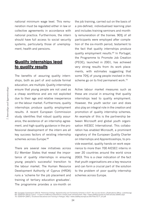national minimum wage level. This remuneration must be regulated either in law or collective agreements in accordance with national practice. Furthermore, the intern should have full access to social security systems, particularly those of unemployment, health and pensions.

#### **Quality internships lead to quality results**

The benefits of assuring quality internships, both as part of and outside formal education, are multiple. Quality internships ensure that young people are not used as a cheap workforce and are not exploited due to their age and relative inexperience on the labour market. Furthermore, quality internships produce quality employment results. A recent European Commission study identifies that robust quality assurance, the existence of an internship agreement, and high-quality guidance in the professional development of the intern are all key success factors of existing internship schemes across Europe.<sup>68</sup>

There are several new initiatives across EU Member States that reveal the importance of quality internships in ensuring young people's successful transition to the labour market. The Human Resource Development Authority of Cyprus (HRDA) runs a 'scheme for the job placement and training of tertiary education graduates'. The programme provides a six-month on

the job training, carried out on the basis of a pre-defined, individualised learning plan and includes training seminars and monthly remuneration of the trainee. 90% of all participants were employed after completion of the six-month period, testament to the fact that quality internships produce quality employment results.<sup>69</sup> In Portugal, the Programme to Promote Job Creation (PEOE), launched in 2001, has achieved very strong results from its work placements, with estimates suggesting that some 70% of young people involved in this scheme go on to find permanent work.<sup>70</sup>

Active labour market measures such as these are crucial in ensuring that quality internships lead to quality employment. However, the youth sector can and does also play an integral role in the creation and promotion of quality internship schemes. An example of this is the partnership between Microsoft and global youth organisation AIESEC International. This collaboration has enabled Microsoft, a prominent signatory of the European Quality Charter on Internships and Apprenticeships, to provide essential, quality hands-on work experience to more than 700 AIESEC interns in over 20 countries around the world since 2003. This is a clear indication of the fact that youth organisations are a key resource and can form a crucial part of the solution to the problem of poor quality internship schemes across Europe.

<sup>68.</sup> European Commission (2013): Preliminary findings: Apprenticeship and Traineeship Schemes in EU27, Key success factors, (Publications Office, Luxembourg)<br>69. CEDEFOP (2012) Cyprus – In search of effective instrument to 70. CEDEFOP (2007), *Vocational Educational and Training in Portugal*, http://www.cedefop.europa.eu/EN/Files/5177\_en.pdf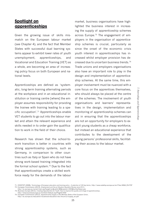### **Spotlight on apprenticeships**

Given the growing issue of skills mismatch on the European labour market (see Chapter 4), and the fact that Member States with successful dual learning systems appear to exhibit lower rates of youth unemployment, apprenticeships, and Vocational and Education Training (VET) as a whole, are becoming an area of increasing policy focus on both European and national levels.

Apprenticeships are defined as 'systematic, long-term training alternating periods at the workplace and in an educational institution or training centre [where] the employer assumes responsibility for providing the trainee with training leading to a specific occupation'.71 Apprenticeships enable VET students to go out into the labour market and attain the relevant experience and skills needed in to order gain the qualification to work in the field of their choice.

Research has shown that the school-towork transition is better in countries with strong apprenticeship systems, such as Germany, in comparison to other countries such as Italy or Spain who do not have strong work-based training integrated into the formal school system.72 Due to the fact that apprenticeships create a skilled workforce ready for the demands of the labour market, business organisations have highlighted the business interest in increasing the supply of apprenticeship schemes across Europe.<sup>73</sup> The engagement of employers in the organisation of apprenticeship schemes is crucial, particularly as since the onset of the economic crisis youth interest in apprenticeships has increased whilst employer provision has decreased due to uncertain business trends.74 Trade unions and employers organisations also have an important role to play in the design and implementation of apprenticeship schemes. At the same time, this employer involvement must be nuanced with a core focus on the apprentices themselves, who should always be placed at the centre of the schemes. The involvement of youth organisations and learners' representatives in the design, implementation and monitoring of apprenticeship schemes can aid in ensuring that the apprenticeships are not an opportunity for employers to exploit young students as a cheap workforce, but instead an educational experience that contributes to the development of the young persons' professional skills, facilitating their access to the labour market.

<sup>71.</sup> CEDEFOP (2008), Terminology of European education and training policy - A selection of 100 key terms, http://www.cedefop.europa.eu/en/Files/4064\_EN.PDF<br>72. European Commission (2013), Employment and Social Situation Qu http://ec.europa.eu/social/main.jsp?langId=en&catId=89&newsId=1923&furtherNews=yes

<sup>73.</sup> Business Europe (2012), Creating Opportunities for Youth: How to improve the quality and image of apprenticeships,<br>http://www.businesseurope.eu/Content/Default.asp?PageID=650<br>74. European Commission (2012), Apprentices

http://ec.europa.eu/education/vocational-education/doc/forum12/supply\_en.pdf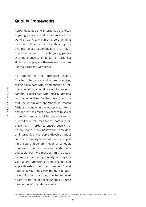#### **Quality Frameworks**

Apprenticeships and internships are often a young person's first experience of the world of work, and can thus be a defining moment in their careers. It is thus imperative that these experiences are of highquality in order to provide young people with the chance to enhance their practical skills and to prepare themselves for entering the European workforce.

As outlined in the European Quality Charter, internships and apprenticeships, taking place both within and outside of formal education, should always be an educational experience with clearly defined learning objectives. Furthermore, to ensure that the intern and apprentice is treated fairly and equally in the workplace, interns and apprentices must have access to social protection and should be decently remunerated or reimbursed for the cost of their placement. In order to ensure such criteria are reached, we believe that providers of internships and apprenticeships must commit to quality standards and to applying a clear and coherent code of conduct. European countries, European institutions and social partners must commit to establishing (or reinforcing already existing) legal quality frameworks for internships and apprenticeships both at European<sup>75</sup> and national level. In this way, the right to quality employment can begin to be enforced directly from the initial experience a young person has of the labour market.

75. Following up on the Youth Forum's Quality Charter and the European Commission's technical document attached to the Communication "Towards a Quality Framework on Traineeships" COM (2012) 728 final)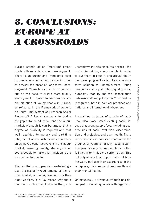# *8. Conclusions: Europe at a Crossroads*

Europe stands at an important crossroads with regards to youth employment. There is an urgent and immediate need to create jobs for young people in order to prevent the onset of long-term unemployment. There is also a broad consensus on the need to create more quality employment in order to improve the social situation of young people in Europe, as reflected in the Framework of Actions on Youth Employment of European Social Partners.<sup>76</sup> A key challenge is to bridge the gap between education and the labour market. Although it can be argued that a degree of flexibility is required and that well regulated temporary and part-time jobs, as well as internships and apprenticeships, have a constructive role in the labour market, ensuring quality, stable jobs for young people to make this transition is the most important factor.

The fact that young people overwhelmingly bear the flexibility requirements of the labour market, and enjoy less security than older workers, is a key reason why there has been such an explosion in the youth

unemployment rate since the onset of the crisis. Re-training young people in order to put them in equally precarious jobs in new developing sectors is not a viable longterm solution to unemployment. Young people have an equal right to quality work, autonomy, stability and the reconciliation between work and private life. This must be recognised, both in political practices and national and international labour law.

Inequalities in terms of quality of work have also exacerbated existing social issues that young people face, including poverty, risk of social exclusion, discrimination and prejudice, and poor health. There is a serious issue that discrimination on the grounds of youth is not fully recognised in European society. Young people can often fall victim to multiple discrimination. This not only affects their opportunities of finding work, but also their experiences in the workplace, their sense of self worth and their mental health.

Unfortunately, a frivolous attitude has developed in certain quarters with regards to

<sup>76.</sup> ETUC, BusinessEurope, CEEP. UEAPME (2013), *Framework of Actions on Youth Employment*,

http://www.etuc.org/IMG/pdf/201306\_Framework\_of\_Actions\_Youth\_Employment.pdf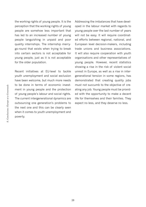the working rights of young people. It is the perception that the working rights of young people are somehow less important that has led to an increased number of young people languishing in unpaid and poor quality internships. The internship merrygo-round that exists when trying to break into certain sectors is not acceptable for young people, just as it is not acceptable for the older population.

Recent initiatives at EU-level to tackle youth unemployment and social exclusion have been welcome, but much more needs to be done in terms of economic investment in young people and the protection of young people's labour and social rights. The current intergenerational dynamics are outsourcing one generation's problems to the next one and this can be clearly seen when it comes to youth unemployment and poverty.

Addressing the imbalances that have developed in the labour market with regards to young people over the last number of years will not be easy. It will require coordinated efforts between regional, national, and European level decision-makers, including trade unions and business associations. It will also require cooperation with youth organisations and other representatives of young people. However, recent statistics showing a rise in the risk of violent social unrest in Europe, as well as a rise in intergenerational tension in some regions, has demonstrated that creating quality jobs must not succumb to the objective of creating any job. Young people must be provided with the opportunity to make a decent life for themselves and their families. They expect no less, and they deserve no less.